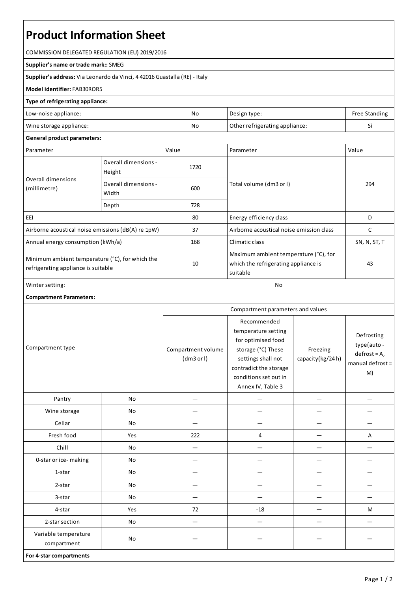# **Product Information Sheet**

COMMISSION DELEGATED REGULATION (EU) 2019/2016

#### **Supplier's name or trade mark::**SMEG

**Supplier's address:** ViaLeonardo da Vinci, 4 42016 Guastalla(RE) - Italy

### **Model identifier:**FAB30ROR5

#### **Type of refrigerating appliance:**

| Low-noise appliance:    | No                                   | Design type: | Free Standing |
|-------------------------|--------------------------------------|--------------|---------------|
| Wine storage appliance: | No<br>Other refrigerating appliance: |              |               |

## **General product parameters:**

| Parameter                                                                              |                                | Value | Parameter                                                                                 | Value        |
|----------------------------------------------------------------------------------------|--------------------------------|-------|-------------------------------------------------------------------------------------------|--------------|
| Overall dimensions<br>(millimetre)                                                     | Overall dimensions -<br>Height | 1720  |                                                                                           | 294          |
|                                                                                        | Overall dimensions -<br>Width  | 600   | Total volume (dm3 or I)                                                                   |              |
|                                                                                        | Depth                          | 728   |                                                                                           |              |
| EEI                                                                                    |                                | 80    | Energy efficiency class                                                                   | D            |
| Airborne acoustical noise emissions (dB(A) re 1pW)                                     |                                | 37    | Airborne acoustical noise emission class                                                  |              |
| Annual energy consumption (kWh/a)                                                      |                                | 168   | Climatic class                                                                            | SN, N, ST, T |
| Minimum ambient temperature (°C), for which the<br>refrigerating appliance is suitable |                                | 10    | Maximum ambient temperature (°C), for<br>which the refrigerating appliance is<br>suitable | 43           |
| Winter setting:                                                                        |                                | No    |                                                                                           |              |

## **Compartment Parameters:**

| Compartment type                    |     | Compartment parameters and values |                                                                                                                                                                              |                              |                                                                         |
|-------------------------------------|-----|-----------------------------------|------------------------------------------------------------------------------------------------------------------------------------------------------------------------------|------------------------------|-------------------------------------------------------------------------|
|                                     |     | Compartment volume<br>(dm3 or l)  | Recommended<br>temperature setting<br>for optimised food<br>storage (°C) These<br>settings shall not<br>contradict the storage<br>conditions set out in<br>Annex IV, Table 3 | Freezing<br>capacity(kg/24h) | Defrosting<br>type(auto -<br>$defrost = A,$<br>manual defrost $=$<br>M) |
| Pantry                              | No  |                                   |                                                                                                                                                                              |                              |                                                                         |
| Wine storage                        | No  |                                   |                                                                                                                                                                              |                              |                                                                         |
| Cellar                              | No  |                                   |                                                                                                                                                                              |                              |                                                                         |
| Fresh food                          | Yes | 222                               | 4                                                                                                                                                                            |                              | Α                                                                       |
| Chill                               | No  |                                   |                                                                                                                                                                              |                              |                                                                         |
| 0-star or ice-making                | No  |                                   |                                                                                                                                                                              |                              |                                                                         |
| 1-star                              | No  |                                   |                                                                                                                                                                              |                              |                                                                         |
| 2-star                              | No  |                                   |                                                                                                                                                                              |                              |                                                                         |
| 3-star                              | No  |                                   |                                                                                                                                                                              |                              |                                                                         |
| 4-star                              | Yes | 72                                | $-18$                                                                                                                                                                        |                              | M                                                                       |
| 2-star section                      | No  | $\overline{\phantom{0}}$          |                                                                                                                                                                              |                              |                                                                         |
| Variable temperature<br>compartment | No  |                                   |                                                                                                                                                                              |                              |                                                                         |
| For 4-star compartments             |     |                                   |                                                                                                                                                                              |                              |                                                                         |